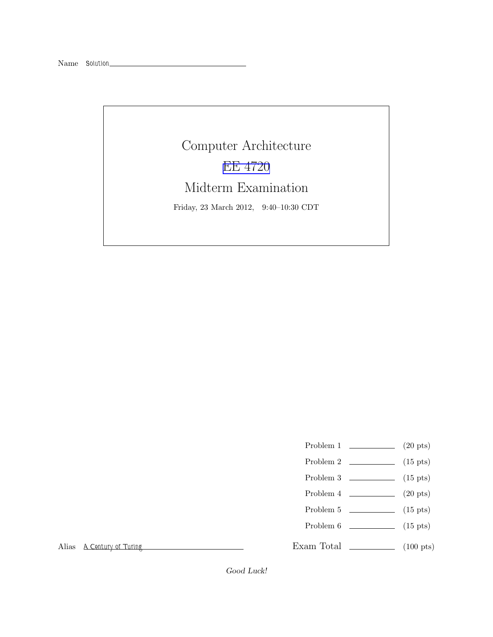Computer Architecture [EE 4720](http://www.ece.lsu.edu/ee4720/) Midterm Examination Friday, 23 March 2012, 9:40–10:30 CDT

- Problem 1  $\qquad \qquad (20 \text{ pts})$
- Problem 2  $\qquad \qquad$  (15 pts)
- Problem 3  $\qquad \qquad$  (15 pts)
- Problem 4  $\qquad \qquad (20 \text{ pts})$
- Problem 5  $\qquad \qquad$  (15 pts)
- Problem  $6 \t\t(15 \text{ pts})$

Exam Total \_\_\_\_\_\_\_\_\_\_\_\_\_\_\_ (100 pts)

Alias *A Century of Turing*

Good Luck!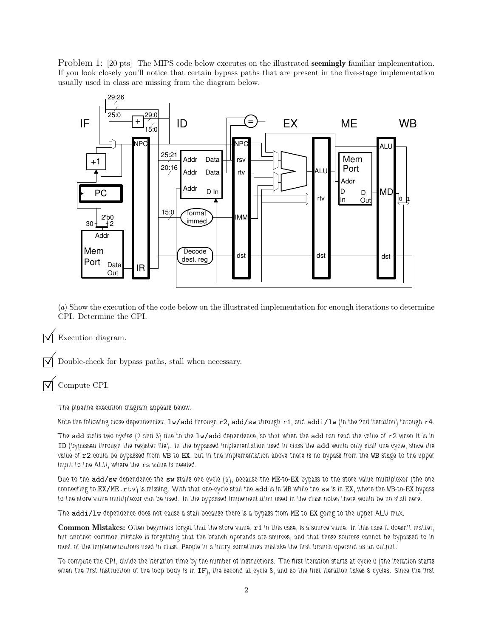Problem 1: [20 pts] The MIPS code below executes on the illustrated **seemingly** familiar implementation. If you look closely you'll notice that certain bypass paths that are present in the five-stage implementation usually used in class are missing from the diagram below.



(*a*) Show the execution of the code below on the illustrated implementation for enough iterations to determine CPI. Determine the CPI.

Execution diagram.

Double-check for bypass paths, stall when necessary.

Compute CPI.

*The pipeline execution diagram appears below.*

*Note the following close dependencies:* lw/add *through* r2*,* add/sw *through* r1*, and* addi/lw *(in the 2nd iteration) through* r4*.*

*The* add *stalls two cycles (2 and 3) due to the* lw/add *dependence, so that when the* add *can read the value of* r2 *when it is in* ID *(bypassed through the register file). In the bypassed implementation used in class the* add *would only stall one cycle, since the value of* r2 *could be bypassed from* WB *to* EX*, but in the implementation above there is no bypass from the* WB *stage to the upper input to the ALU, where the* rs *value is needed.*

*Due to the* add/sw *dependence the* sw *stalls one cycle (5), because the* ME*-to-*EX *bypass to the store value multiplexor (the one connecting to* EX/ME.rtv*) is missing. With that one-cycle stall the* add *is in* WB *while the* sw *is in* EX*, where the* WB*-to-*EX *bypass to the store value multiplexor can be used. In the bypassed implementation used in the class notes there would be no stall here.*

*The* addi/lw *dependence does not cause a stall because there is a bypass from* ME *to* EX *going to the upper ALU mux.*

Common Mistakes: *Often beginners forget that the store value,* r1 *in this case, is a source value. In this case it doesn't matter, but another common mistake is forgetting that the branch operands are sources, and that these sources cannot be bypassed to in most of the implementations used in class. People in a hurry sometimes mistake the first branch operand as an output.*

*To compute the CPI, divide the iteration time by the number of instructions. The first iteration starts at cycle 0 (the iteration starts when the first instruction of the loop body is in* IF*), the second at cycle 8, and so the first iteration takes 8 cycles. Since the first*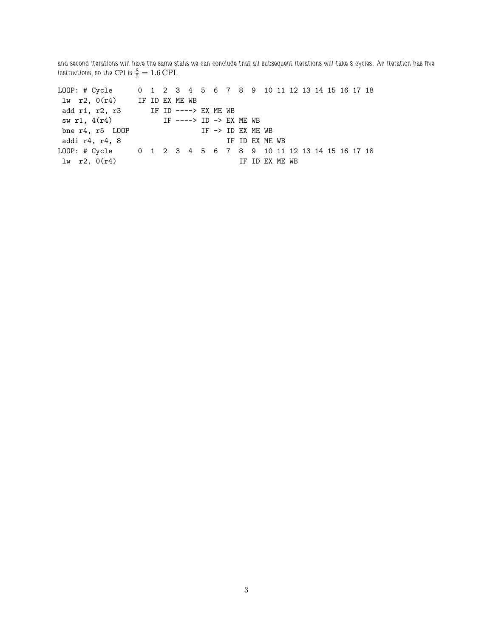*and second iterations will have the same stalls we can conclude that all subsequent iterations will take 8 cycles. An iteration has five* instructions, so the CPI is  $\frac{8}{5} = 1.6 \text{ CPI}.$ 

LOOP: # Cycle 0 1 2 3 4 5 6 7 8 9 10 11 12 13 14 15 16 17 18 lw r2, 0(r4) IF ID EX ME WB add r1, r2, r3 IF ID ----> EX ME WB sw r1, 4(r4) IF ----> ID -> EX ME WB bne  $r4$ ,  $r5$  LOOP IF -> ID EX ME WB addi r4, r4, 8 IF ID EX ME WB LOOP: # Cycle 0 1 2 3 4 5 6 7 8 9 10 11 12 13 14 15 16 17 18  $\ln$  r2,  $0(r4)$  IF ID EX ME WB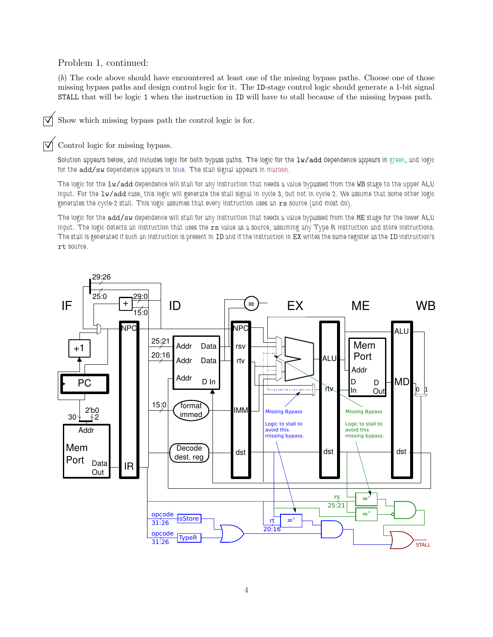## Problem 1, continued:

(*b*) The code above should have encountered at least one of the missing bypass paths. Choose one of those missing bypass paths and design control logic for it. The ID-stage control logic should generate a 1-bit signal STALL that will be logic 1 when the instruction in ID will have to stall because of the missing bypass path.

 $\triangledown$  Show which missing bypass path the control logic is for.

## Control logic for missing bypass.

*Solution appears below, and includes logic for both bypass paths. The logic for the* lw/add *dependence appears in green, and logic for the* add/sw *dependence appears in blue. The stall signal appears in maroon.*

*The logic for the* lw/add *dependence will stall for any instruction that needs a value bypassed from the* WB *stage to the upper ALU input. For the* lw/add *case, this logic will generate the stall signal in cycle 3, but not in cycle 2. We assume that some other logic generates the cycle-2 stall. This logic assumes that every instruction uses an* rs *source (and most do).*

*The logic for the* add/sw *dependence will stall for any instruction that needs a value bypassed from the* ME *stage for the lower ALU input. The logic detects an instruction that uses the* rs *value as a source, assuming any Type R instruction and store instructions. The stall is generated if such an instruction is present in* ID *and if the instruction in* EX *writes the same register as the* ID *instruction's* rt *source.*

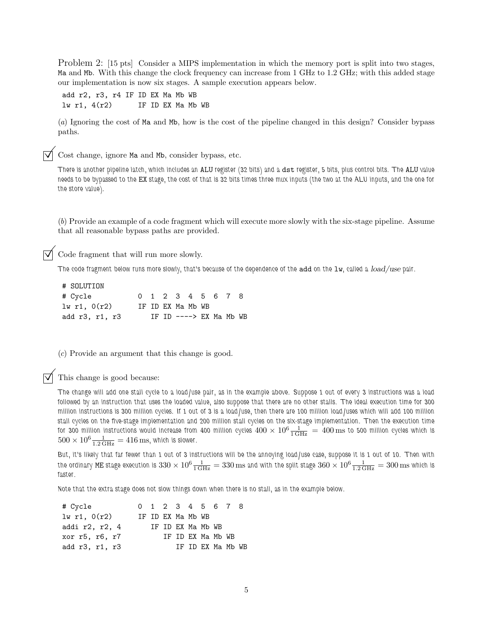Problem 2: [15 pts] Consider a MIPS implementation in which the memory port is split into two stages, Ma and Mb. With this change the clock frequency can increase from 1 GHz to 1.2 GHz; with this added stage our implementation is now six stages. A sample execution appears below.

add r2, r3, r4 IF ID EX Ma Mb WB  $lw$  r1,  $4(r2)$  IF ID EX Ma Mb WB

(*a*) Ignoring the cost of Ma and Mb, how is the cost of the pipeline changed in this design? Consider bypass paths.

Cost change, ignore Ma and Mb, consider bypass, etc.

*There is another pipeline latch, which includes an* ALU *register (32 bits) and a* dst *register, 5 bits, plus control bits. The* ALU *value needs to be bypassed to the* EX *stage, the cost of that is 32 bits times three mux inputs (the two at the ALU inputs, and the one for the store value).*

(*b*) Provide an example of a code fragment which will execute more slowly with the six-stage pipeline. Assume that all reasonable bypass paths are provided.

Code fragment that will run more slowly.

*The code fragment below runs more slowly, that's because of the dependence of the add on the lw, called a load/use pair.* 

| # SOLUTION       |  |                          |  |  |  |
|------------------|--|--------------------------|--|--|--|
| # Cycle          |  | 0 1 2 3 4 5 6 7 8        |  |  |  |
| $1w$ r1, $0(r2)$ |  | IF ID EX Ma Mb WB        |  |  |  |
| add r3, r1, r3   |  | IF ID $--->$ EX Ma Mb WB |  |  |  |

(*c*) Provide an argument that this change is good.

This change is good because:

*The change will add one stall cycle to a load/use pair, as in the example above. Suppose 1 out of every 3 instructions was a load followed by an instruction that uses the loaded value, also suppose that there are no other stalls. The ideal execution time for 300 million instructions is 300 million cycles. If 1 out of 3 is a load/use, then there are 100 million load/uses which will add 100 million stall cycles on the five-stage implementation and 200 million stall cycles on the six-stage implementation. Then the execution time* for 300 million instructions would increase from 400 million cycles  $400\times10^6\frac{1}{1\,\rm GHz} = 400\,\rm ms$  to 500 million cycles which is  $500 \times 10^6 \frac{1}{1.2 \text{ GHz}} = 416 \text{ ms}$ , which is slower.

*But, it's likely that far fewer than 1 out of 3 instructions will be the annoying load/use case, suppose it is 1 out of 10. Then with* the ordinary  $\textrm{ME}$  stage execution is  $330\times10^6\frac{1}{1\,\mathrm{GHz}}=330\,\mathrm{ms}$  and with the split stage  $360\times10^6\frac{1}{1.2\,\mathrm{GHz}}=300\,\mathrm{ms}$  which is *faster.*

*Note that the extra stage does not slow things down when there is no stall, as in the example below.*

| # Cycle        |  |                   | 0 1 2 3 4 5 6 7 8 |  |  |
|----------------|--|-------------------|-------------------|--|--|
| 1w r1, 0(r2)   |  | IF ID EX Ma Mb WB |                   |  |  |
| addi r2, r2, 4 |  |                   | IF ID EX Ma Mb WB |  |  |
| xor r5, r6, r7 |  |                   | TF TD EX Ma Mb WB |  |  |
| add r3, r1, r3 |  |                   | IF ID FX Ma Mb WB |  |  |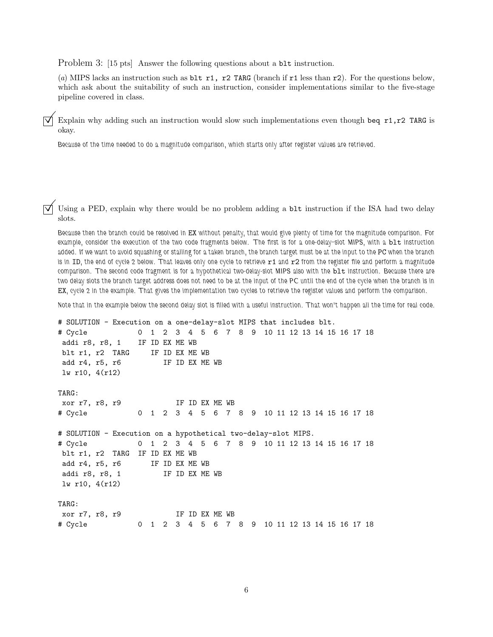Problem 3: [15 pts] Answer the following questions about a blt instruction.

(*a*) MIPS lacks an instruction such as blt r1, r2 TARG (branch if r1 less than r2). For the questions below, which ask about the suitability of such an instruction, consider implementations similar to the five-stage pipeline covered in class.

Explain why adding such an instruction would slow such implementations even though beq r1,r2 TARG is okay.

*Because of the time needed to do a magnitude comparison, which starts only after register values are retrieved.*

Using a PED, explain why there would be no problem adding a  $blt$  instruction if the ISA had two delay slots.

*Because then the branch could be resolved in* EX *without penalty, that would give plenty of time for the magnitude comparison. For example, consider the execution of the two code fragments below. The first is for a one-delay-slot MIPS, with a blt instruction added. If we want to avoid squashing or stalling for a taken branch, the branch target must be at the input to the* PC *when the branch* is in ID, the end of cycle 2 below. That leaves only one cycle to retrieve r1 and r2 from the register file and perform a magnitude *comparison. The second code fragment is for a hypothetical two-delay-slot MIPS also with the* blt *instruction. Because there are two delay slots the branch target address does not need to be at the input of the PC until the end of the cycle when the branch is in* EX*, cycle 2 in the example. That gives the implementation two cycles to retrieve the register values and perform the comparison.*

*Note that in the example below the second delay slot is filled with a useful instruction. That won't happen all the time for real code.*

```
# SOLUTION - Execution on a one-delay-slot MIPS that includes blt.
# Cycle 0 1 2 3 4 5 6 7 8 9 10 11 12 13 14 15 16 17 18
addi r8, r8, 1 IF ID EX ME WB
blt r1, r2 TARG IF ID EX ME WB
add r4, r5, r6 IF ID EX ME WB
lw r10, 4(r12)
TARG:
xor r7, r8, r9 IF ID EX ME WB
# Cycle 0 1 2 3 4 5 6 7 8 9 10 11 12 13 14 15 16 17 18
# SOLUTION - Execution on a hypothetical two-delay-slot MIPS.
# Cycle 0 1 2 3 4 5 6 7 8 9 10 11 12 13 14 15 16 17 18
blt r1, r2 TARG IF ID EX ME WB
add r4, r5, r6 IF ID EX ME WB
addi r8, r8, 1 IF ID EX ME WB
lw r10, 4(r12)
TARG:
xor r7, r8, r9 IF ID EX ME WB
# Cycle 0 1 2 3 4 5 6 7 8 9 10 11 12 13 14 15 16 17 18
```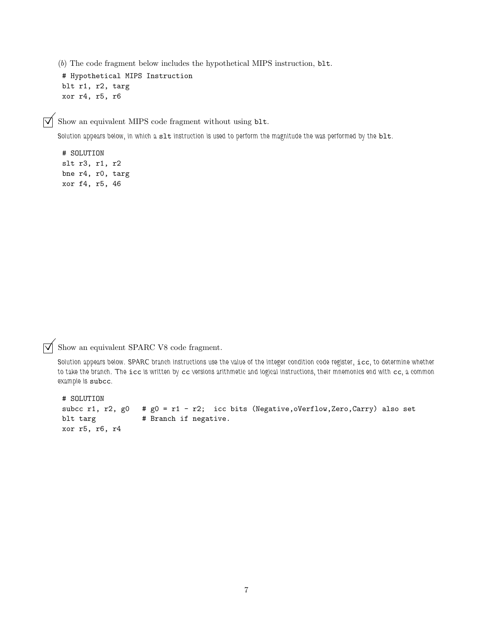(*b*) The code fragment below includes the hypothetical MIPS instruction, blt.

# Hypothetical MIPS Instruction blt r1, r2, targ xor r4, r5, r6

 $\triangledown$  Show an equivalent MIPS code fragment without using blt.

*Solution appears below, in which a* slt *instruction is used to perform the magnitude the was performed by the* blt*.*

# SOLUTION slt r3, r1, r2 bne r4, r0, targ xor f4, r5, 46

 $\overrightarrow{\bigvee}$  Show an equivalent SPARC V8 code fragment.

*Solution appears below. SPARC branch instructions use the value of the integer condition code register,* icc*, to determine whether to take the branch. The* icc *is written by* cc *versions arithmetic and logical instructions, their mnemonics end with* cc*, a common example is* subcc*.*

```
# SOLUTION
subcc r1, r2, g0 # g0 = r1 - r2; icc bits (Negative, oVerflow, Zero, Carry) also set
blt targ \qquad # Branch if negative.
xor r5, r6, r4
```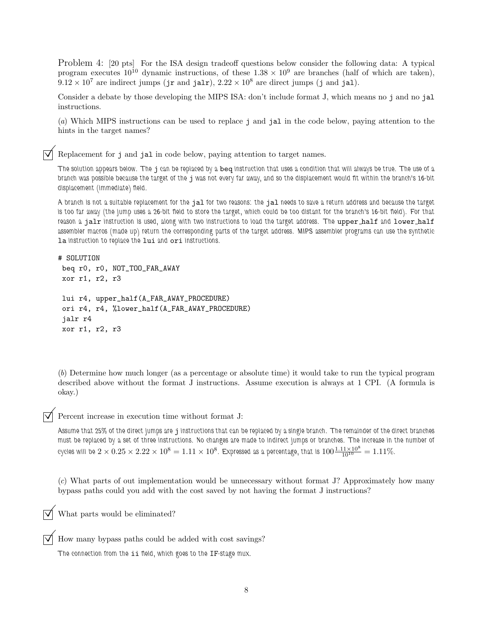Problem 4: [20 pts] For the ISA design tradeoff questions below consider the following data: A typical program executes  $10^{10}$  dynamic instructions, of these  $1.38 \times 10^9$  are branches (half of which are taken),  $9.12 \times 10^7$  are indirect jumps (jr and jalr),  $2.22 \times 10^8$  are direct jumps (j and jal).

Consider a debate by those developing the MIPS ISA: don't include format J, which means no j and no jal instructions.

(*a*) Which MIPS instructions can be used to replace j and jal in the code below, paying attention to the hints in the target names?

Replacement for <sup>j</sup> and jal in code below, paying attention to target names.

*The solution appears below. The* j *can be replaced by a* beq *instruction that uses a condition that will always be true. The use of a branch was possible because the target of the* j *was not every far away, and so the displacement would fit within the branch's 16-bit displacement (immediate) field.*

*A branch is not a suitable replacement for the* jal *for two reasons: the* jal *needs to save a return address and because the target is too far away (the jump uses a 26-bit field to store the target, which could be too distant for the branch's 16-bit field). For that reason a* jalr *instruction is used, along with two instructions to load the target address. The* upper half *and* lower half *assembler macros (made up) return the corresponding parts of the target address. MIPS assembler programs can use the synthetic* la *instruction to replace the* lui *and* ori *instructions.*

# SOLUTION

```
beq r0, r0, NOT_TOO_FAR_AWAY
xor r1, r2, r3
lui r4, upper_half(A_FAR_AWAY_PROCEDURE)
ori r4, r4, %lower_half(A_FAR_AWAY_PROCEDURE)
jalr r4
xor r1, r2, r3
```
(*b*) Determine how much longer (as a percentage or absolute time) it would take to run the typical program described above without the format J instructions. Assume execution is always at 1 CPI. (A formula is okay.)

Percent increase in execution time without format J:

*Assume that 25% of the direct jumps are* j *instructions that can be replaced by a single branch. The remainder of the direct branches must be replaced by a set of three instructions. No changes are made to indirect jumps or branches. The increase in the number of* cycles will be  $2 \times 0.25 \times 2.22 \times 10^8 = 1.11 \times 10^8$ . Expressed as a percentage, that is  $100 \frac{1.11 \times 10^8}{10^{10}} = 1.11\%$ .

(*c*) What parts of out implementation would be unnecessary without format J? Approximately how many bypass paths could you add with the cost saved by not having the format J instructions?

What parts would be eliminated?

How many bypass paths could be added with cost savings?

*The connection from the* ii *field, which goes to the* IF*-stage mux.*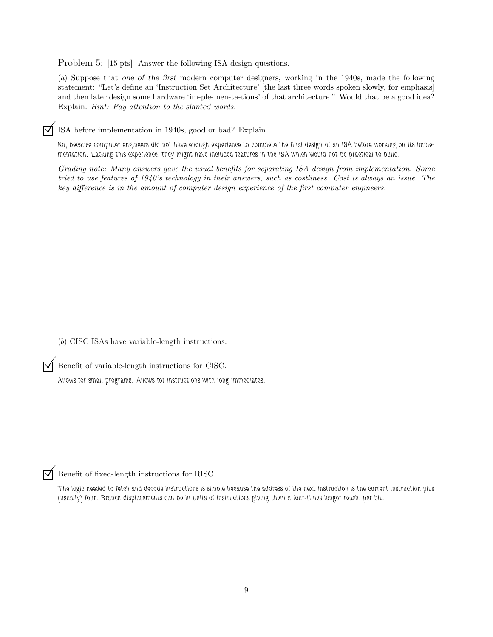Problem 5: [15 pts] Answer the following ISA design questions.

(*a*) Suppose that one of the first modern computer designers, working in the 1940s, made the following statement: "Let's define an 'Instruction Set Architecture' [the last three words spoken slowly, for emphasis] and then later design some hardware 'im-ple-men-ta-tions' of that architecture." Would that be a good idea? Explain. *Hint: Pay attention to the* slanted *words.*

 $\triangledown$  ISA before implementation in 1940s, good or bad? Explain.

*No, because computer engineers did not have enough experience to complete the final design of an ISA before working on its implementation. Lacking this experience, they might have included features in the ISA which would not be practical to build.*

*Grading note: Many answers gave the usual benefits for separating ISA design from implementation. Some tried to use features of 1940's technology in their answers, such as costliness. Cost is always an issue. The key difference is in the amount of computer design experience of the first computer engineers.*

(*b*) CISC ISAs have variable-length instructions.

 $\triangledown$  Benefit of variable-length instructions for CISC.

*Allows for small programs. Allows for instructions with long immediates.*

Benefit of fixed-length instructions for RISC.

*The logic needed to fetch and decode instructions is simple because the address of the next instruction is the current instruction plus (usually) four. Branch displacements can be in units of instructions giving them a four-times longer reach, per bit.*